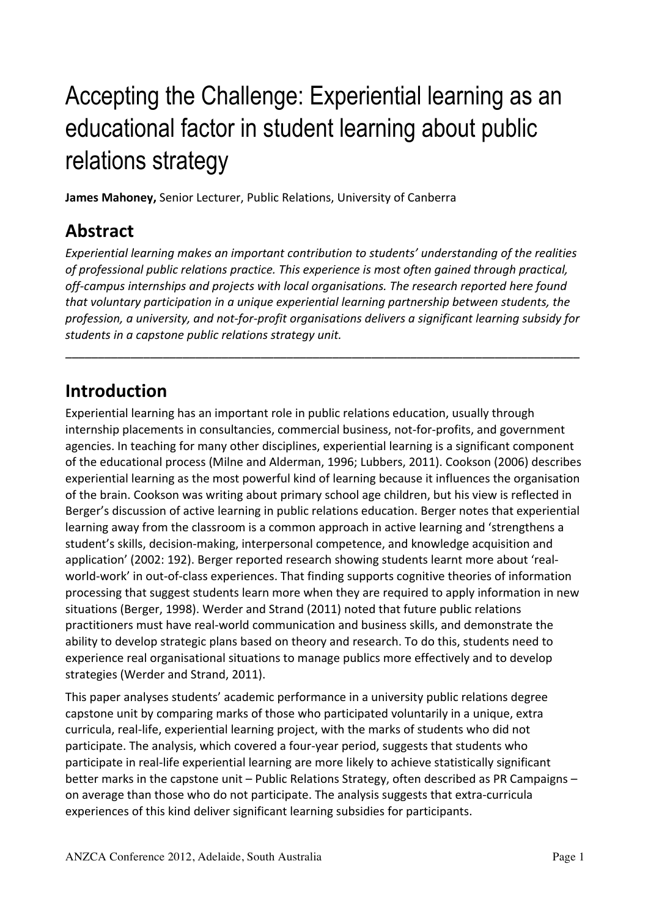# Accepting the Challenge: Experiential learning as an educational factor in student learning about public relations strategy

**James Mahoney, Senior Lecturer, Public Relations, University of Canberra** 

#### **Abstract**

*Experiential learning makes an important contribution to students' understanding of the realities* of professional public relations practice. This experience is most often gained through practical, off-campus internships and projects with local organisations. The research reported here found that voluntary participation in a unique experiential learning partnership between students, the profession, a university, and not-for-profit organisations delivers a significant learning subsidy for students in a capstone public relations strategy unit.

*–––––––––––––––––––––––––––––––––––––––––––––––––––––––––––––––––––––––––––––––*

#### **Introduction**

Experiential learning has an important role in public relations education, usually through internship placements in consultancies, commercial business, not-for-profits, and government agencies. In teaching for many other disciplines, experiential learning is a significant component of the educational process (Milne and Alderman, 1996; Lubbers, 2011). Cookson (2006) describes experiential learning as the most powerful kind of learning because it influences the organisation of the brain. Cookson was writing about primary school age children, but his view is reflected in Berger's discussion of active learning in public relations education. Berger notes that experiential learning away from the classroom is a common approach in active learning and 'strengthens a student's skills, decision-making, interpersonal competence, and knowledge acquisition and application' (2002: 192). Berger reported research showing students learnt more about 'realworld-work' in out-of-class experiences. That finding supports cognitive theories of information processing that suggest students learn more when they are required to apply information in new situations (Berger, 1998). Werder and Strand (2011) noted that future public relations practitioners must have real-world communication and business skills, and demonstrate the ability to develop strategic plans based on theory and research. To do this, students need to experience real organisational situations to manage publics more effectively and to develop strategies (Werder and Strand, 2011).

This paper analyses students' academic performance in a university public relations degree capstone unit by comparing marks of those who participated voluntarily in a unique, extra curricula, real-life, experiential learning project, with the marks of students who did not participate. The analysis, which covered a four-year period, suggests that students who participate in real-life experiential learning are more likely to achieve statistically significant better marks in the capstone unit – Public Relations Strategy, often described as PR Campaigns – on average than those who do not participate. The analysis suggests that extra-curricula experiences of this kind deliver significant learning subsidies for participants.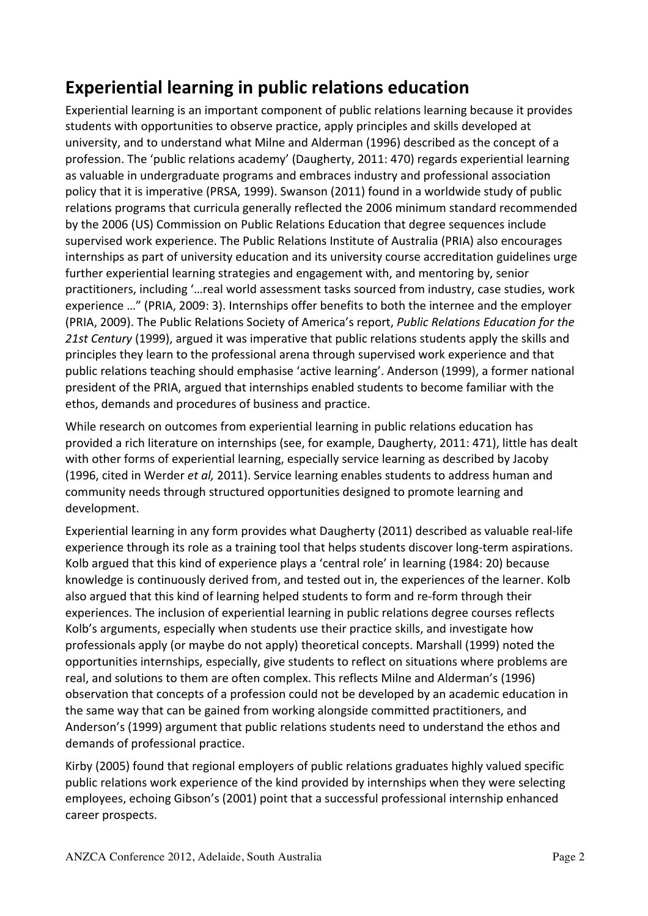# **Experiential learning in public relations education**

Experiential learning is an important component of public relations learning because it provides students with opportunities to observe practice, apply principles and skills developed at university, and to understand what Milne and Alderman (1996) described as the concept of a profession. The 'public relations academy' (Daugherty, 2011: 470) regards experiential learning as valuable in undergraduate programs and embraces industry and professional association policy that it is imperative (PRSA, 1999). Swanson (2011) found in a worldwide study of public relations programs that curricula generally reflected the 2006 minimum standard recommended by the 2006 (US) Commission on Public Relations Education that degree sequences include supervised work experience. The Public Relations Institute of Australia (PRIA) also encourages internships as part of university education and its university course accreditation guidelines urge further experiential learning strategies and engagement with, and mentoring by, senior practitioners, including '... real world assessment tasks sourced from industry, case studies, work experience ..." (PRIA, 2009: 3). Internships offer benefits to both the internee and the employer (PRIA, 2009). The Public Relations Society of America's report, *Public Relations Education for the* 21st Century (1999), argued it was imperative that public relations students apply the skills and principles they learn to the professional arena through supervised work experience and that public relations teaching should emphasise 'active learning'. Anderson (1999), a former national president of the PRIA, argued that internships enabled students to become familiar with the ethos, demands and procedures of business and practice.

While research on outcomes from experiential learning in public relations education has provided a rich literature on internships (see, for example, Daugherty, 2011: 471), little has dealt with other forms of experiential learning, especially service learning as described by Jacoby (1996, cited in Werder *et al,* 2011). Service learning enables students to address human and community needs through structured opportunities designed to promote learning and development. 

Experiential learning in any form provides what Daugherty (2011) described as valuable real-life experience through its role as a training tool that helps students discover long-term aspirations. Kolb argued that this kind of experience plays a 'central role' in learning (1984: 20) because knowledge is continuously derived from, and tested out in, the experiences of the learner. Kolb also argued that this kind of learning helped students to form and re-form through their experiences. The inclusion of experiential learning in public relations degree courses reflects Kolb's arguments, especially when students use their practice skills, and investigate how professionals apply (or maybe do not apply) theoretical concepts. Marshall (1999) noted the opportunities internships, especially, give students to reflect on situations where problems are real, and solutions to them are often complex. This reflects Milne and Alderman's (1996) observation that concepts of a profession could not be developed by an academic education in the same way that can be gained from working alongside committed practitioners, and Anderson's (1999) argument that public relations students need to understand the ethos and demands of professional practice.

Kirby (2005) found that regional employers of public relations graduates highly valued specific public relations work experience of the kind provided by internships when they were selecting employees, echoing Gibson's (2001) point that a successful professional internship enhanced career prospects.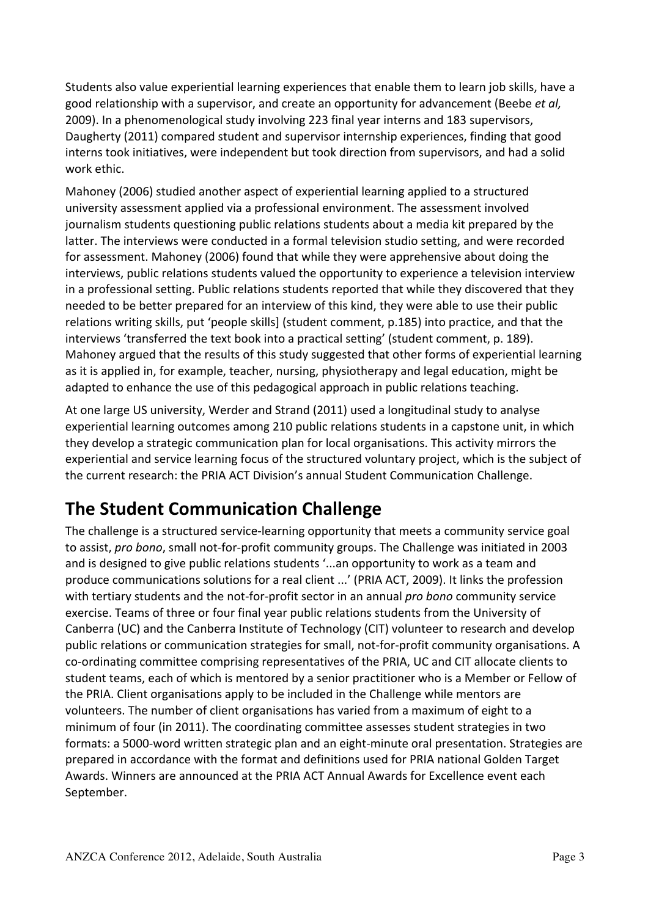Students also value experiential learning experiences that enable them to learn job skills, have a good relationship with a supervisor, and create an opportunity for advancement (Beebe *et al,* 2009). In a phenomenological study involving 223 final year interns and 183 supervisors, Daugherty (2011) compared student and supervisor internship experiences, finding that good interns took initiatives, were independent but took direction from supervisors, and had a solid work ethic.

Mahoney (2006) studied another aspect of experiential learning applied to a structured university assessment applied via a professional environment. The assessment involved journalism students questioning public relations students about a media kit prepared by the latter. The interviews were conducted in a formal television studio setting, and were recorded for assessment. Mahoney (2006) found that while they were apprehensive about doing the interviews, public relations students valued the opportunity to experience a television interview in a professional setting. Public relations students reported that while they discovered that they needed to be better prepared for an interview of this kind, they were able to use their public relations writing skills, put 'people skills] (student comment, p.185) into practice, and that the interviews 'transferred the text book into a practical setting' (student comment, p. 189). Mahoney argued that the results of this study suggested that other forms of experiential learning as it is applied in, for example, teacher, nursing, physiotherapy and legal education, might be adapted to enhance the use of this pedagogical approach in public relations teaching.

At one large US university, Werder and Strand (2011) used a longitudinal study to analyse experiential learning outcomes among 210 public relations students in a capstone unit, in which they develop a strategic communication plan for local organisations. This activity mirrors the experiential and service learning focus of the structured voluntary project, which is the subject of the current research: the PRIA ACT Division's annual Student Communication Challenge.

# **The Student Communication Challenge**

The challenge is a structured service-learning opportunity that meets a community service goal to assist, *pro bono*, small not-for-profit community groups. The Challenge was initiated in 2003 and is designed to give public relations students '...an opportunity to work as a team and produce communications solutions for a real client ...' (PRIA ACT, 2009). It links the profession with tertiary students and the not-for-profit sector in an annual *pro bono* community service exercise. Teams of three or four final year public relations students from the University of Canberra (UC) and the Canberra Institute of Technology (CIT) volunteer to research and develop public relations or communication strategies for small, not-for-profit community organisations. A co-ordinating committee comprising representatives of the PRIA, UC and CIT allocate clients to student teams, each of which is mentored by a senior practitioner who is a Member or Fellow of the PRIA. Client organisations apply to be included in the Challenge while mentors are volunteers. The number of client organisations has varied from a maximum of eight to a minimum of four (in 2011). The coordinating committee assesses student strategies in two formats: a 5000-word written strategic plan and an eight-minute oral presentation. Strategies are prepared in accordance with the format and definitions used for PRIA national Golden Target Awards. Winners are announced at the PRIA ACT Annual Awards for Excellence event each September.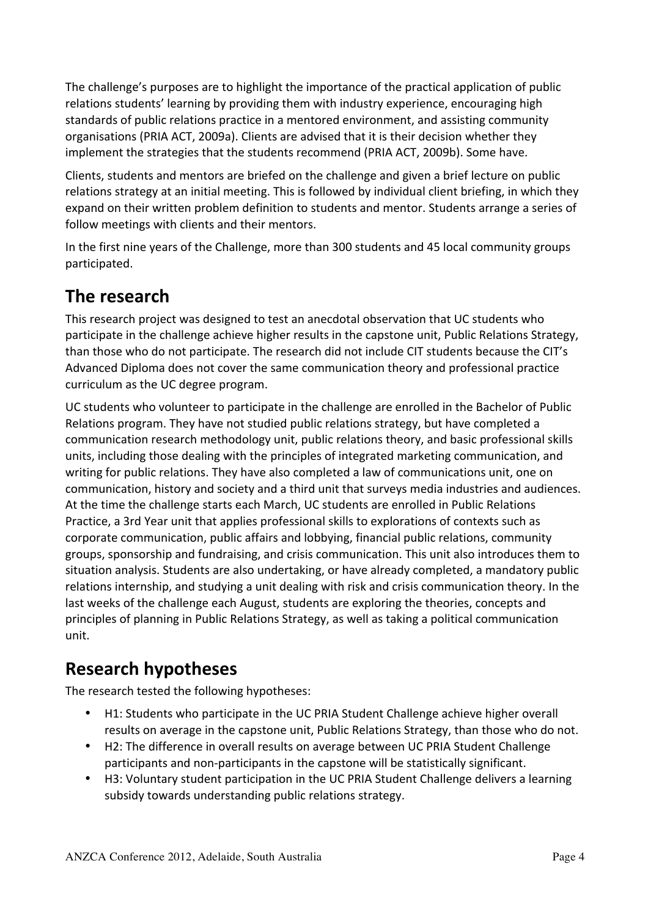The challenge's purposes are to highlight the importance of the practical application of public relations students' learning by providing them with industry experience, encouraging high standards of public relations practice in a mentored environment, and assisting community organisations (PRIA ACT, 2009a). Clients are advised that it is their decision whether they implement the strategies that the students recommend (PRIA ACT, 2009b). Some have.

Clients, students and mentors are briefed on the challenge and given a brief lecture on public relations strategy at an initial meeting. This is followed by individual client briefing, in which they expand on their written problem definition to students and mentor. Students arrange a series of follow meetings with clients and their mentors.

In the first nine years of the Challenge, more than 300 students and 45 local community groups participated.

### **The research**

This research project was designed to test an anecdotal observation that UC students who participate in the challenge achieve higher results in the capstone unit, Public Relations Strategy, than those who do not participate. The research did not include CIT students because the CIT's Advanced Diploma does not cover the same communication theory and professional practice curriculum as the UC degree program.

UC students who volunteer to participate in the challenge are enrolled in the Bachelor of Public Relations program. They have not studied public relations strategy, but have completed a communication research methodology unit, public relations theory, and basic professional skills units, including those dealing with the principles of integrated marketing communication, and writing for public relations. They have also completed a law of communications unit, one on communication, history and society and a third unit that surveys media industries and audiences. At the time the challenge starts each March, UC students are enrolled in Public Relations Practice, a 3rd Year unit that applies professional skills to explorations of contexts such as corporate communication, public affairs and lobbying, financial public relations, community groups, sponsorship and fundraising, and crisis communication. This unit also introduces them to situation analysis. Students are also undertaking, or have already completed, a mandatory public relations internship, and studying a unit dealing with risk and crisis communication theory. In the last weeks of the challenge each August, students are exploring the theories, concepts and principles of planning in Public Relations Strategy, as well as taking a political communication unit.

### **Research hypotheses**

The research tested the following hypotheses:

- H1: Students who participate in the UC PRIA Student Challenge achieve higher overall results on average in the capstone unit, Public Relations Strategy, than those who do not.
- H2: The difference in overall results on average between UC PRIA Student Challenge participants and non-participants in the capstone will be statistically significant.
- H3: Voluntary student participation in the UC PRIA Student Challenge delivers a learning subsidy towards understanding public relations strategy.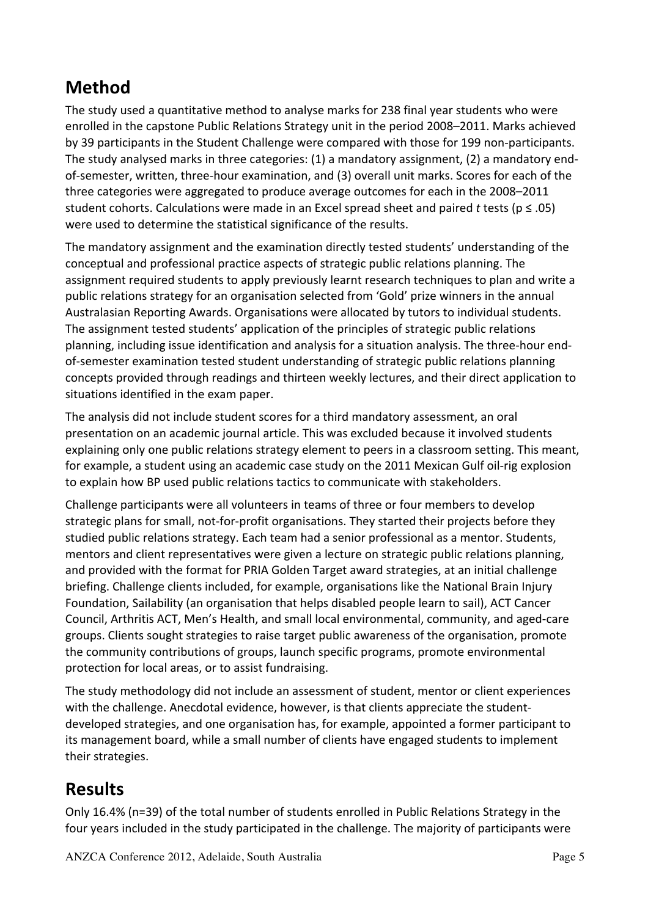# **Method**

The study used a quantitative method to analyse marks for 238 final year students who were enrolled in the capstone Public Relations Strategy unit in the period 2008–2011. Marks achieved by 39 participants in the Student Challenge were compared with those for 199 non-participants. The study analysed marks in three categories:  $(1)$  a mandatory assignment,  $(2)$  a mandatory endof-semester, written, three-hour examination, and (3) overall unit marks. Scores for each of the three categories were aggregated to produce average outcomes for each in the 2008–2011 student cohorts. Calculations were made in an Excel spread sheet and paired *t* tests ( $p \le .05$ ) were used to determine the statistical significance of the results.

The mandatory assignment and the examination directly tested students' understanding of the conceptual and professional practice aspects of strategic public relations planning. The assignment required students to apply previously learnt research techniques to plan and write a public relations strategy for an organisation selected from 'Gold' prize winners in the annual Australasian Reporting Awards. Organisations were allocated by tutors to individual students. The assignment tested students' application of the principles of strategic public relations planning, including issue identification and analysis for a situation analysis. The three-hour endof-semester examination tested student understanding of strategic public relations planning concepts provided through readings and thirteen weekly lectures, and their direct application to situations identified in the exam paper.

The analysis did not include student scores for a third mandatory assessment, an oral presentation on an academic journal article. This was excluded because it involved students explaining only one public relations strategy element to peers in a classroom setting. This meant, for example, a student using an academic case study on the 2011 Mexican Gulf oil-rig explosion to explain how BP used public relations tactics to communicate with stakeholders.

Challenge participants were all volunteers in teams of three or four members to develop strategic plans for small, not-for-profit organisations. They started their projects before they studied public relations strategy. Each team had a senior professional as a mentor. Students, mentors and client representatives were given a lecture on strategic public relations planning, and provided with the format for PRIA Golden Target award strategies, at an initial challenge briefing. Challenge clients included, for example, organisations like the National Brain Injury Foundation, Sailability (an organisation that helps disabled people learn to sail), ACT Cancer Council, Arthritis ACT, Men's Health, and small local environmental, community, and aged-care groups. Clients sought strategies to raise target public awareness of the organisation, promote the community contributions of groups, launch specific programs, promote environmental protection for local areas, or to assist fundraising.

The study methodology did not include an assessment of student, mentor or client experiences with the challenge. Anecdotal evidence, however, is that clients appreciate the studentdeveloped strategies, and one organisation has, for example, appointed a former participant to its management board, while a small number of clients have engaged students to implement their strategies.

# **Results**

Only 16.4% (n=39) of the total number of students enrolled in Public Relations Strategy in the four years included in the study participated in the challenge. The majority of participants were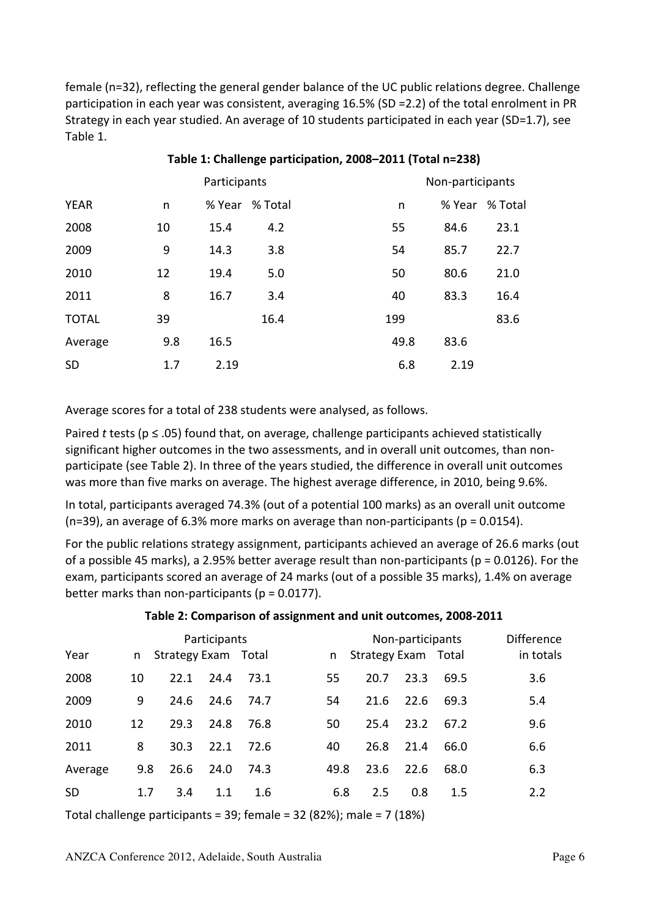female (n=32), reflecting the general gender balance of the UC public relations degree. Challenge participation in each year was consistent, averaging 16.5% (SD =2.2) of the total enrolment in PR Strategy in each year studied. An average of 10 students participated in each year (SD=1.7), see Table 1.

|              |     | Participants |         |  |      | Non-participants |         |  |
|--------------|-----|--------------|---------|--|------|------------------|---------|--|
| <b>YEAR</b>  | n   | % Year       | % Total |  | n    | % Year           | % Total |  |
| 2008         | 10  | 15.4         | 4.2     |  | 55   | 84.6             | 23.1    |  |
| 2009         | 9   | 14.3         | 3.8     |  | 54   | 85.7             | 22.7    |  |
| 2010         | 12  | 19.4         | 5.0     |  | 50   | 80.6             | 21.0    |  |
| 2011         | 8   | 16.7         | 3.4     |  | 40   | 83.3             | 16.4    |  |
| <b>TOTAL</b> | 39  |              | 16.4    |  | 199  |                  | 83.6    |  |
| Average      | 9.8 | 16.5         |         |  | 49.8 | 83.6             |         |  |
| <b>SD</b>    | 1.7 | 2.19         |         |  | 6.8  | 2.19             |         |  |

#### Table 1: Challenge participation, 2008–2011 (Total n=238)

Average scores for a total of 238 students were analysed, as follows.

Paired *t* tests ( $p \le .05$ ) found that, on average, challenge participants achieved statistically significant higher outcomes in the two assessments, and in overall unit outcomes, than nonparticipate (see Table 2). In three of the years studied, the difference in overall unit outcomes was more than five marks on average. The highest average difference, in 2010, being 9.6%.

In total, participants averaged 74.3% (out of a potential 100 marks) as an overall unit outcome (n=39), an average of 6.3% more marks on average than non-participants ( $p = 0.0154$ ).

For the public relations strategy assignment, participants achieved an average of 26.6 marks (out of a possible 45 marks), a 2.95% better average result than non-participants ( $p = 0.0126$ ). For the exam, participants scored an average of 24 marks (out of a possible 35 marks), 1.4% on average better marks than non-participants ( $p = 0.0177$ ).

|           | Participants |                     |      |      |      |                     | Non-participants |      |           |  |
|-----------|--------------|---------------------|------|------|------|---------------------|------------------|------|-----------|--|
| Year      | n            | Strategy Exam Total |      |      | n    | Strategy Exam Total |                  |      | in totals |  |
| 2008      | 10           | 22.1                | 24.4 | 73.1 | 55   | 20.7                | 23.3             | 69.5 | 3.6       |  |
| 2009      | 9            | 24.6                | 24.6 | 74.7 | 54   | 21.6                | 22.6             | 69.3 | 5.4       |  |
| 2010      | 12           | 29.3                | 24.8 | 76.8 | 50   | 25.4                | 23.2             | 67.2 | 9.6       |  |
| 2011      | 8            | 30.3                | 22.1 | 72.6 | 40   | 26.8                | 21.4             | 66.0 | 6.6       |  |
| Average   | 9.8          | 26.6                | 24.0 | 74.3 | 49.8 | 23.6                | 22.6             | 68.0 | 6.3       |  |
| <b>SD</b> | 1.7          | 3.4                 | 1.1  | 1.6  | 6.8  | 2.5                 | 0.8              | 1.5  | 2.2       |  |

#### Table 2: Comparison of assignment and unit outcomes, 2008-2011

Total challenge participants =  $39$ ; female =  $32$  (82%); male =  $7$  (18%)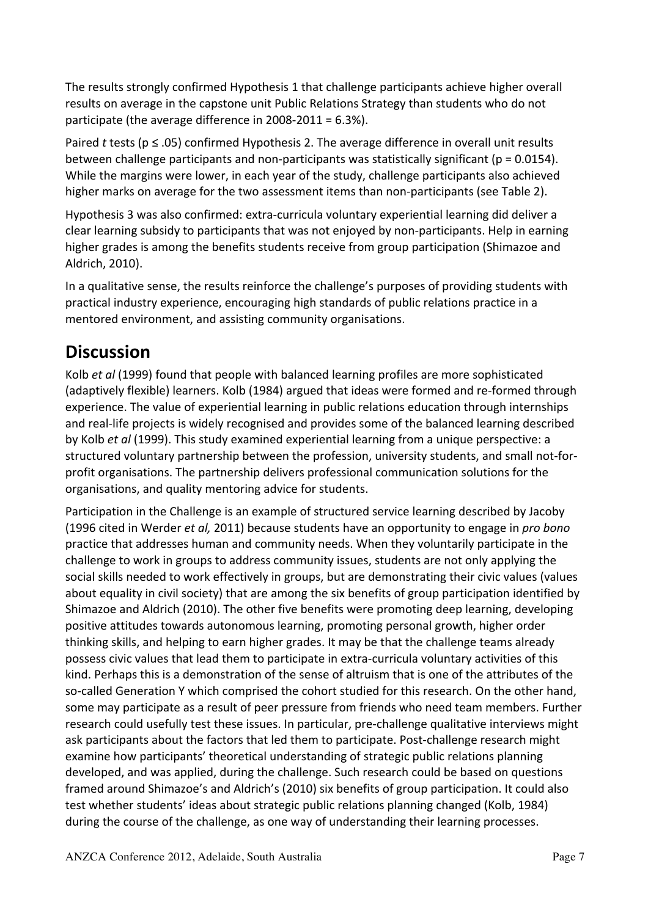The results strongly confirmed Hypothesis 1 that challenge participants achieve higher overall results on average in the capstone unit Public Relations Strategy than students who do not participate (the average difference in  $2008-2011 = 6.3\%$ ).

Paired *t* tests (p ≤ .05) confirmed Hypothesis 2. The average difference in overall unit results between challenge participants and non-participants was statistically significant ( $p = 0.0154$ ). While the margins were lower, in each year of the study, challenge participants also achieved higher marks on average for the two assessment items than non-participants (see Table 2).

Hypothesis 3 was also confirmed: extra-curricula voluntary experiential learning did deliver a clear learning subsidy to participants that was not enjoyed by non-participants. Help in earning higher grades is among the benefits students receive from group participation (Shimazoe and Aldrich, 2010).

In a qualitative sense, the results reinforce the challenge's purposes of providing students with practical industry experience, encouraging high standards of public relations practice in a mentored environment, and assisting community organisations.

#### **Discussion**

Kolb *et al* (1999) found that people with balanced learning profiles are more sophisticated (adaptively flexible) learners. Kolb (1984) argued that ideas were formed and re-formed through experience. The value of experiential learning in public relations education through internships and real-life projects is widely recognised and provides some of the balanced learning described by Kolb *et al* (1999). This study examined experiential learning from a unique perspective: a structured voluntary partnership between the profession, university students, and small not-forprofit organisations. The partnership delivers professional communication solutions for the organisations, and quality mentoring advice for students.

Participation in the Challenge is an example of structured service learning described by Jacoby (1996 cited in Werder *et al,* 2011) because students have an opportunity to engage in *pro bono* practice that addresses human and community needs. When they voluntarily participate in the challenge to work in groups to address community issues, students are not only applying the social skills needed to work effectively in groups, but are demonstrating their civic values (values about equality in civil society) that are among the six benefits of group participation identified by Shimazoe and Aldrich (2010). The other five benefits were promoting deep learning, developing positive attitudes towards autonomous learning, promoting personal growth, higher order thinking skills, and helping to earn higher grades. It may be that the challenge teams already possess civic values that lead them to participate in extra-curricula voluntary activities of this kind. Perhaps this is a demonstration of the sense of altruism that is one of the attributes of the so-called Generation Y which comprised the cohort studied for this research. On the other hand, some may participate as a result of peer pressure from friends who need team members. Further research could usefully test these issues. In particular, pre-challenge qualitative interviews might ask participants about the factors that led them to participate. Post-challenge research might examine how participants' theoretical understanding of strategic public relations planning developed, and was applied, during the challenge. Such research could be based on questions framed around Shimazoe's and Aldrich's (2010) six benefits of group participation. It could also test whether students' ideas about strategic public relations planning changed (Kolb, 1984) during the course of the challenge, as one way of understanding their learning processes.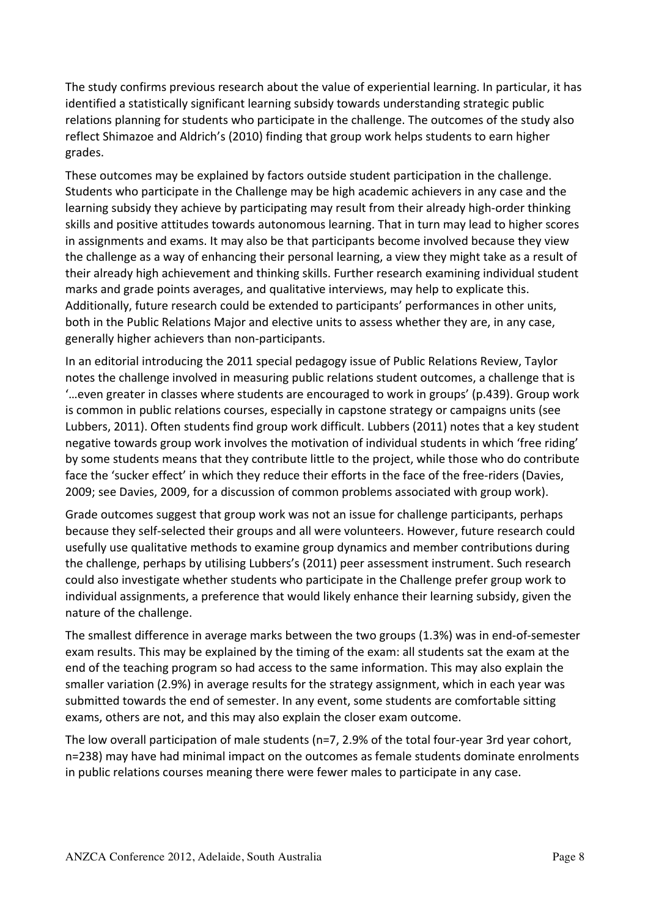The study confirms previous research about the value of experiential learning. In particular, it has identified a statistically significant learning subsidy towards understanding strategic public relations planning for students who participate in the challenge. The outcomes of the study also reflect Shimazoe and Aldrich's (2010) finding that group work helps students to earn higher grades.

These outcomes may be explained by factors outside student participation in the challenge. Students who participate in the Challenge may be high academic achievers in any case and the learning subsidy they achieve by participating may result from their already high-order thinking skills and positive attitudes towards autonomous learning. That in turn may lead to higher scores in assignments and exams. It may also be that participants become involved because they view the challenge as a way of enhancing their personal learning, a view they might take as a result of their already high achievement and thinking skills. Further research examining individual student marks and grade points averages, and qualitative interviews, may help to explicate this. Additionally, future research could be extended to participants' performances in other units, both in the Public Relations Major and elective units to assess whether they are, in any case, generally higher achievers than non-participants.

In an editorial introducing the 2011 special pedagogy issue of Public Relations Review, Taylor notes the challenge involved in measuring public relations student outcomes, a challenge that is  $\ldots$  even greater in classes where students are encouraged to work in groups' (p.439). Group work is common in public relations courses, especially in capstone strategy or campaigns units (see Lubbers, 2011). Often students find group work difficult. Lubbers (2011) notes that a key student negative towards group work involves the motivation of individual students in which 'free riding' by some students means that they contribute little to the project, while those who do contribute face the 'sucker effect' in which they reduce their efforts in the face of the free-riders (Davies, 2009; see Davies, 2009, for a discussion of common problems associated with group work).

Grade outcomes suggest that group work was not an issue for challenge participants, perhaps because they self-selected their groups and all were volunteers. However, future research could usefully use qualitative methods to examine group dynamics and member contributions during the challenge, perhaps by utilising Lubbers's (2011) peer assessment instrument. Such research could also investigate whether students who participate in the Challenge prefer group work to individual assignments, a preference that would likely enhance their learning subsidy, given the nature of the challenge.

The smallest difference in average marks between the two groups (1.3%) was in end-of-semester exam results. This may be explained by the timing of the exam: all students sat the exam at the end of the teaching program so had access to the same information. This may also explain the smaller variation (2.9%) in average results for the strategy assignment, which in each year was submitted towards the end of semester. In any event, some students are comfortable sitting exams, others are not, and this may also explain the closer exam outcome.

The low overall participation of male students (n=7, 2.9% of the total four-year 3rd year cohort, n=238) may have had minimal impact on the outcomes as female students dominate enrolments in public relations courses meaning there were fewer males to participate in any case.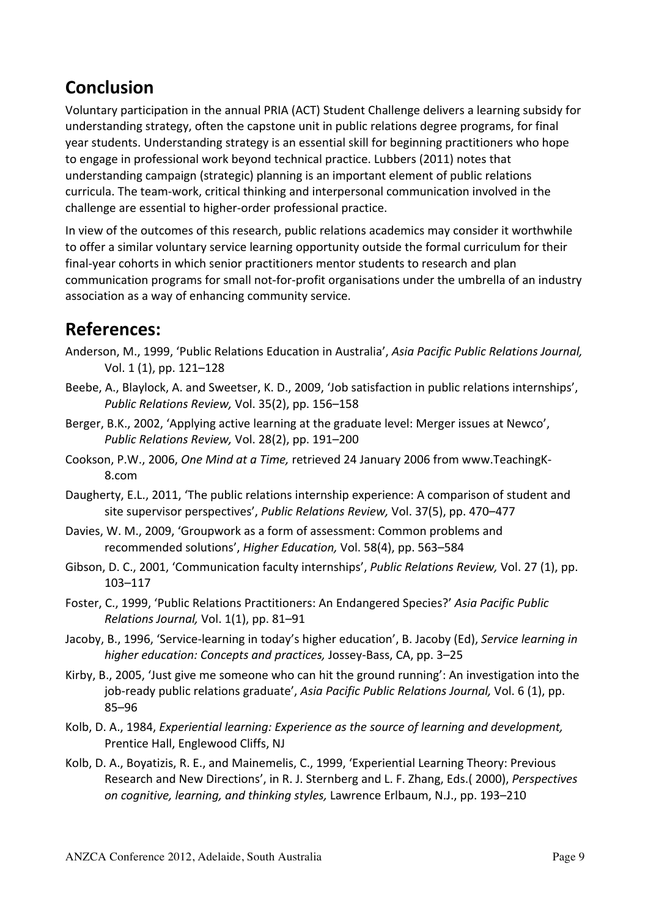### **Conclusion**

Voluntary participation in the annual PRIA (ACT) Student Challenge delivers a learning subsidy for understanding strategy, often the capstone unit in public relations degree programs, for final year students. Understanding strategy is an essential skill for beginning practitioners who hope to engage in professional work beyond technical practice. Lubbers (2011) notes that understanding campaign (strategic) planning is an important element of public relations curricula. The team-work, critical thinking and interpersonal communication involved in the challenge are essential to higher-order professional practice.

In view of the outcomes of this research, public relations academics may consider it worthwhile to offer a similar voluntary service learning opportunity outside the formal curriculum for their final-year cohorts in which senior practitioners mentor students to research and plan communication programs for small not-for-profit organisations under the umbrella of an industry association as a way of enhancing community service.

#### **References:**

- Anderson, M., 1999, 'Public Relations Education in Australia', *Asia Pacific Public Relations Journal.* Vol. 1 (1), pp. 121–128
- Beebe, A., Blaylock, A. and Sweetser, K. D., 2009, 'Job satisfaction in public relations internships'. *Public Relations Review, Vol.* 35(2), pp. 156–158
- Berger, B.K., 2002. 'Applying active learning at the graduate level: Merger issues at Newco', *Public Relations Review, Vol. 28(2), pp. 191–200*
- Cookson, P.W., 2006, *One Mind at a Time,* retrieved 24 January 2006 from www.TeachingK-8.com
- Daugherty, E.L., 2011, 'The public relations internship experience: A comparison of student and site supervisor perspectives', Public Relations Review, Vol. 37(5), pp. 470–477
- Davies, W. M., 2009, 'Groupwork as a form of assessment: Common problems and recommended solutions', *Higher Education*, Vol. 58(4), pp. 563-584
- Gibson, D. C., 2001, 'Communication faculty internships', *Public Relations Review, Vol.* 27 (1), pp. 103–117
- Foster, C., 1999, 'Public Relations Practitioners: An Endangered Species?' Asia Pacific Public *Relations Journal, Vol.* 1(1), pp. 81-91
- Jacoby, B., 1996, 'Service-learning in today's higher education', B. Jacoby (Ed), Service learning in higher education: Concepts and practices, Jossey-Bass, CA, pp. 3-25
- Kirby, B., 2005, 'Just give me someone who can hit the ground running': An investigation into the job-ready public relations graduate', Asia Pacific Public Relations Journal, Vol. 6 (1), pp. 85–96
- Kolb, D. A., 1984, *Experiential learning: Experience as the source of learning and development,* Prentice Hall, Englewood Cliffs, NJ
- Kolb, D. A., Boyatizis, R. E., and Mainemelis, C., 1999, 'Experiential Learning Theory: Previous Research and New Directions', in R. J. Sternberg and L. F. Zhang, Eds.( 2000), *Perspectives on cognitive, learning, and thinking styles, Lawrence Erlbaum, N.J., pp. 193–210*